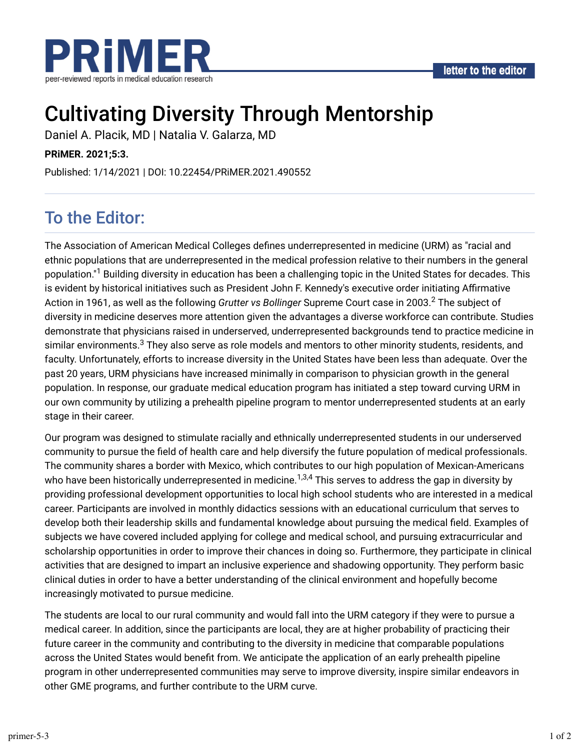

# Cultivating Diversity Through Mentorship

Daniel A. Placik, MD | Natalia V. Galarza, MD

**PRiMER. 2021;5:3.**

Published: 1/14/2021 | DOI: 10.22454/PRiMER.2021.490552

## To the Editor:

The Association of American Medical Colleges defines underrepresented in medicine (URM) as "racial and ethnic populations that are underrepresented in the medical profession relative to their numbers in the general population."<sup>1</sup> Building diversity in education has been a challenging topic in the United States for decades. This is evident by historical initiatives such as President John F. Kennedy's executive order initiating Affirmative Action in 1961, as well as the following *Grutter vs Bollinger S*upreme Court case in 2003.<sup>2</sup> The subject of diversity in medicine deserves more attention given the advantages a diverse workforce can contribute. Studies demonstrate that physicians raised in underserved, underrepresented backgrounds tend to practice medicine in similar environments. $^3$  They also serve as role models and mentors to other minority students, residents, and faculty. Unfortunately, efforts to increase diversity in the United States have been less than adequate. Over the past 20 years, URM physicians have increased minimally in comparison to physician growth in the general population. In response, our graduate medical education program has initiated a step toward curving URM in our own community by utilizing a prehealth pipeline program to mentor underrepresented students at an early stage in their career.

Our program was designed to stimulate racially and ethnically underrepresented students in our underserved community to pursue the field of health care and help diversify the future population of medical professionals. The community shares a border with Mexico, which contributes to our high population of Mexican-Americans who have been historically underrepresented in medicine. $^{1,3,4}$  This serves to address the gap in diversity by providing professional development opportunities to local high school students who are interested in a medical career. Participants are involved in monthly didactics sessions with an educational curriculum that serves to develop both their leadership skills and fundamental knowledge about pursuing the medical field. Examples of subjects we have covered included applying for college and medical school, and pursuing extracurricular and scholarship opportunities in order to improve their chances in doing so. Furthermore, they participate in clinical activities that are designed to impart an inclusive experience and shadowing opportunity. They perform basic clinical duties in order to have a better understanding of the clinical environment and hopefully become increasingly motivated to pursue medicine.

The students are local to our rural community and would fall into the URM category if they were to pursue a medical career. In addition, since the participants are local, they are at higher probability of practicing their future career in the community and contributing to the diversity in medicine that comparable populations across the United States would benefit from. We anticipate the application of an early prehealth pipeline program in other underrepresented communities may serve to improve diversity, inspire similar endeavors in other GME programs, and further contribute to the URM curve.